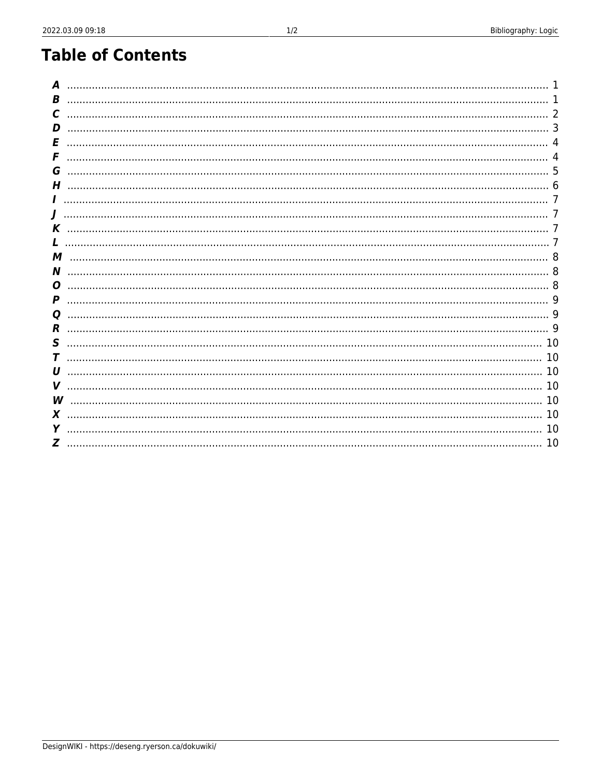DesignWIKI - https://deseng.ryerson.ca/dokuwiki/

## **Table of Contents**

| B  |  |
|----|--|
|    |  |
| D  |  |
| E  |  |
| F. |  |
| G  |  |
|    |  |
|    |  |
|    |  |
|    |  |
|    |  |
| M  |  |
| N  |  |
| 0  |  |
| P  |  |
| O  |  |
| R  |  |
| S. |  |
| T  |  |
| U  |  |
|    |  |
| W  |  |
|    |  |
|    |  |
|    |  |
|    |  |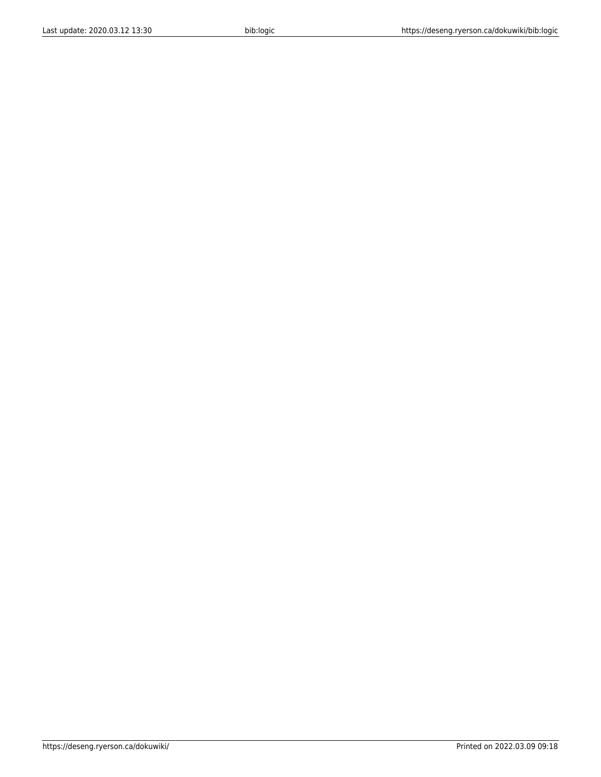https://deseng.ryerson.ca/dokuwiki/ Printed on 2022.03.09 09:18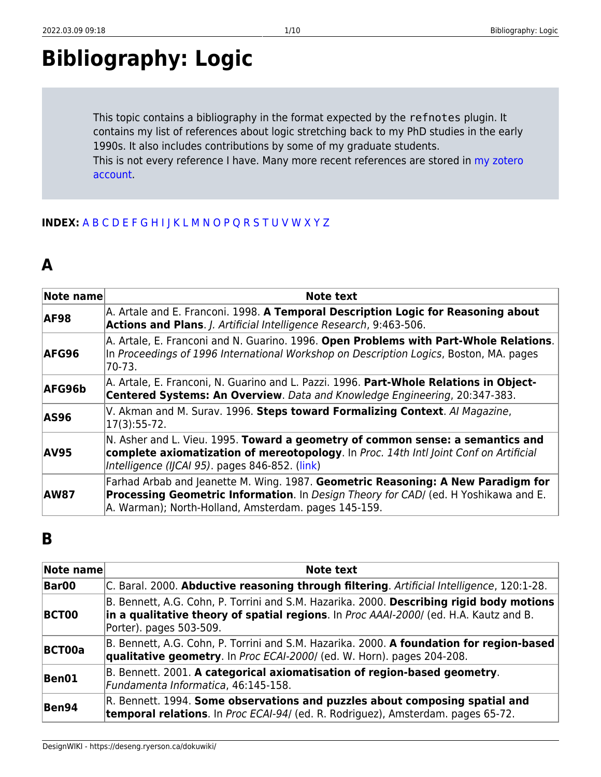# **Bibliography: Logic**

This topic contains a bibliography in the format expected by the refnotes plugin. It contains my list of references about logic stretching back to my PhD studies in the early 1990s. It also includes contributions by some of my graduate students. This is not every reference I have. Many more recent references are stored in [my zotero](https://www.zotero.org/filsalustri/items) [account](https://www.zotero.org/filsalustri/items).

#### **INDEX:** [A](#page-2-2) [B](#page-2-3) [C](#page-3-1) [D](#page-4-1) [E](#page-5-2) [F](#page-5-3) [G](#page-6-1) [H](#page-7-1) [I](#page-7-2) [J](#page-8-4) [K](#page-8-5) [L](#page-8-6) [M](#page-9-3) [N](#page-9-4) [O](#page-9-5) [P](#page-9-6) [Q](#page-10-3) [R](#page-10-4) [S](#page-10-5) [T](#page-11-8) [U](#page-11-9) [V](#page-11-10) [W](#page-11-11) [X](#page-11-12) [Y](#page-11-13) [Z](#page-11-14)

### <span id="page-2-2"></span><span id="page-2-0"></span>**A**

| Note name   | Note text                                                                                                                                                                                                                       |
|-------------|---------------------------------------------------------------------------------------------------------------------------------------------------------------------------------------------------------------------------------|
| <b>AF98</b> | A. Artale and E. Franconi. 1998. A Temporal Description Logic for Reasoning about<br>Actions and Plans. J. Artificial Intelligence Research, 9:463-506.                                                                         |
| AFG96       | A. Artale, E. Franconi and N. Guarino. 1996. Open Problems with Part-Whole Relations.<br>In Proceedings of 1996 International Workshop on Description Logics, Boston, MA. pages<br>$70 - 73.$                                   |
| AFG96b      | A. Artale, E. Franconi, N. Guarino and L. Pazzi. 1996. Part-Whole Relations in Object-<br>Centered Systems: An Overview. Data and Knowledge Engineering, 20:347-383.                                                            |
| <b>AS96</b> | V. Akman and M. Surav. 1996. Steps toward Formalizing Context. Al Magazine,<br>$17(3):55-72.$                                                                                                                                   |
| <b>AV95</b> | N. Asher and L. Vieu. 1995. Toward a geometry of common sense: a semantics and<br>complete axiomatization of mereotopology. In Proc. 14th Intl Joint Conf on Artificial<br>Intelligence (IJCAI 95). pages 846-852. (link)       |
| <b>AW87</b> | Farhad Arbab and Jeanette M. Wing. 1987. Geometric Reasoning: A New Paradigm for<br>Processing Geometric Information. In Design Theory for CAD/ (ed. H Yoshikawa and E.<br>A. Warman); North-Holland, Amsterdam. pages 145-159. |

#### <span id="page-2-3"></span><span id="page-2-1"></span>**B**

| Note name     | Note text                                                                                                                                                                                                    |
|---------------|--------------------------------------------------------------------------------------------------------------------------------------------------------------------------------------------------------------|
| <b>Bar00</b>  | C. Baral. 2000. Abductive reasoning through filtering. Artificial Intelligence, 120:1-28.                                                                                                                    |
| <b>BCT00</b>  | B. Bennett, A.G. Cohn, P. Torrini and S.M. Hazarika. 2000. Describing rigid body motions<br>in a qualitative theory of spatial regions. In Proc AAAI-2000/ (ed. H.A. Kautz and B.<br>Porter). pages 503-509. |
| <b>BCT00a</b> | B. Bennett, A.G. Cohn, P. Torrini and S.M. Hazarika. 2000. A foundation for region-based<br>qualitative geometry. In Proc ECAI-2000/ (ed. W. Horn). pages 204-208.                                           |
| Ben01         | B. Bennett. 2001. A categorical axiomatisation of region-based geometry.<br>Fundamenta Informatica, 46:145-158.                                                                                              |
| Ben94         | R. Bennett. 1994. Some observations and puzzles about composing spatial and<br>temporal relations. In Proc ECAI-94/ (ed. R. Rodriguez), Amsterdam. pages 65-72.                                              |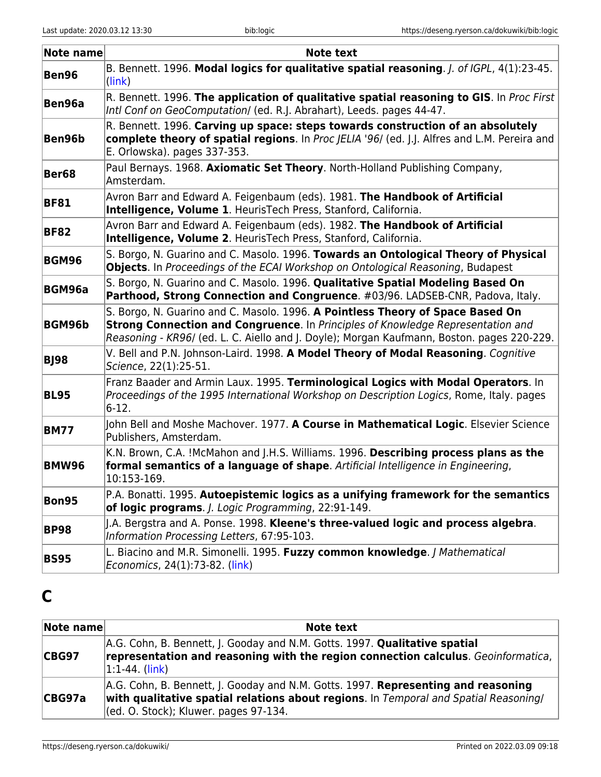| <b>Note name</b> | <b>Note text</b>                                                                                                                                                                                                                                                       |
|------------------|------------------------------------------------------------------------------------------------------------------------------------------------------------------------------------------------------------------------------------------------------------------------|
| Ben96            | B. Bennett. 1996. Modal logics for qualitative spatial reasoning. J. of IGPL, 4(1):23-45.<br>(link)                                                                                                                                                                    |
| Ben96a           | R. Bennett. 1996. The application of qualitative spatial reasoning to GIS. In Proc First<br>Intl Conf on GeoComputation/ (ed. R.J. Abrahart), Leeds. pages 44-47.                                                                                                      |
| Ben96b           | R. Bennett. 1996. Carving up space: steps towards construction of an absolutely<br>complete theory of spatial regions. In Proc JELIA '96/ (ed. J.J. Alfres and L.M. Pereira and<br>E. Orlowska). pages 337-353.                                                        |
| Ber68            | Paul Bernays. 1968. Axiomatic Set Theory. North-Holland Publishing Company,<br>Amsterdam.                                                                                                                                                                              |
| <b>BF81</b>      | Avron Barr and Edward A. Feigenbaum (eds). 1981. The Handbook of Artificial<br>Intelligence, Volume 1. HeurisTech Press, Stanford, California.                                                                                                                         |
| <b>BF82</b>      | Avron Barr and Edward A. Feigenbaum (eds). 1982. The Handbook of Artificial<br>Intelligence, Volume 2. HeurisTech Press, Stanford, California.                                                                                                                         |
| <b>BGM96</b>     | S. Borgo, N. Guarino and C. Masolo. 1996. Towards an Ontological Theory of Physical<br>Objects. In Proceedings of the ECAI Workshop on Ontological Reasoning, Budapest                                                                                                 |
| BGM96a           | S. Borgo, N. Guarino and C. Masolo. 1996. Qualitative Spatial Modeling Based On<br>Parthood, Strong Connection and Congruence. #03/96. LADSEB-CNR, Padova, Italy.                                                                                                      |
| BGM96b           | S. Borgo, N. Guarino and C. Masolo. 1996. A Pointless Theory of Space Based On<br><b>Strong Connection and Congruence.</b> In Principles of Knowledge Representation and<br>Reasoning - KR96/ (ed. L. C. Aiello and J. Doyle); Morgan Kaufmann, Boston. pages 220-229. |
| <b>BJ98</b>      | V. Bell and P.N. Johnson-Laird. 1998. A Model Theory of Modal Reasoning. Cognitive<br>Science, 22(1):25-51.                                                                                                                                                            |
| <b>BL95</b>      | Franz Baader and Armin Laux. 1995. Terminological Logics with Modal Operators. In<br>Proceedings of the 1995 International Workshop on Description Logics, Rome, Italy. pages<br>$6-12.$                                                                               |
| <b>BM77</b>      | John Bell and Moshe Machover. 1977. A Course in Mathematical Logic. Elsevier Science<br>Publishers, Amsterdam.                                                                                                                                                         |
| <b>BMW96</b>     | K.N. Brown, C.A. !McMahon and J.H.S. Williams. 1996. Describing process plans as the<br>formal semantics of a language of shape. Artificial Intelligence in Engineering,<br>10:153-169.                                                                                |
| Bon95            | P.A. Bonatti. 1995. Autoepistemic logics as a unifying framework for the semantics<br>of logic programs. J. Logic Programming, 22:91-149.                                                                                                                              |
| <b>BP98</b>      | J.A. Bergstra and A. Ponse. 1998. Kleene's three-valued logic and process algebra.<br>Information Processing Letters, 67:95-103.                                                                                                                                       |
| <b>BS95</b>      | L. Biacino and M.R. Simonelli. 1995. Fuzzy common knowledge. J Mathematical<br>Economics, 24(1):73-82. (link)                                                                                                                                                          |

#### <span id="page-3-1"></span><span id="page-3-0"></span>**C**

| Note name | Note text                                                                                                                                                                                                          |
|-----------|--------------------------------------------------------------------------------------------------------------------------------------------------------------------------------------------------------------------|
| CBG97     | A.G. Cohn, B. Bennett, J. Gooday and N.M. Gotts. 1997. Qualitative spatial<br>representation and reasoning with the region connection calculus. Geoinformatica,<br>$ 1:1$ -44. (link)                              |
| CBG97a    | A.G. Cohn, B. Bennett, J. Gooday and N.M. Gotts. 1997. Representing and reasoning<br>with qualitative spatial relations about regions. In Temporal and Spatial Reasoning/<br>(ed. O. Stock); Kluwer. pages 97-134. |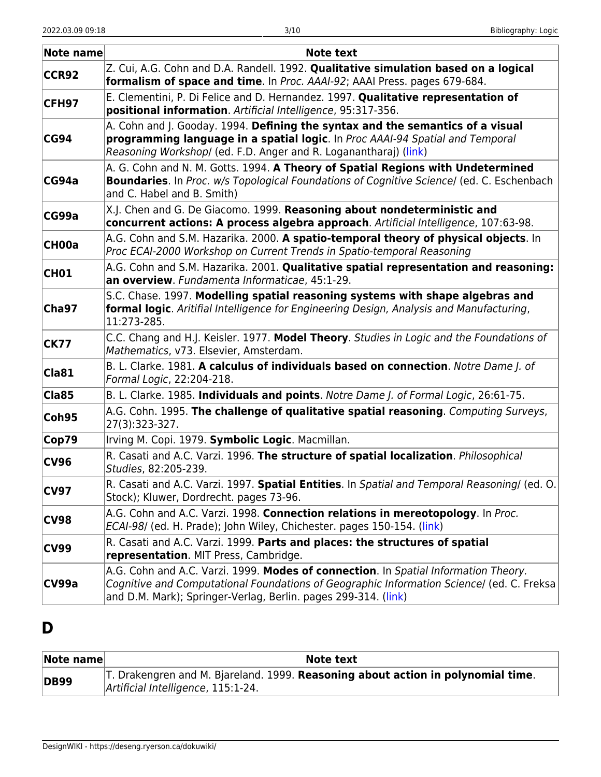| <b>Note name</b> | Note text                                                                                                                                                                                                                                          |
|------------------|----------------------------------------------------------------------------------------------------------------------------------------------------------------------------------------------------------------------------------------------------|
| <b>CCR92</b>     | Z. Cui, A.G. Cohn and D.A. Randell. 1992. Qualitative simulation based on a logical<br>formalism of space and time. In Proc. AAAI-92; AAAI Press. pages 679-684.                                                                                   |
| CFH97            | E. Clementini, P. Di Felice and D. Hernandez. 1997. Qualitative representation of<br>positional information. Artificial Intelligence, 95:317-356.                                                                                                  |
| CG94             | A. Cohn and J. Gooday. 1994. Defining the syntax and the semantics of a visual<br>programming language in a spatial logic. In Proc AAAI-94 Spatial and Temporal<br>Reasoning Workshop/ (ed. F.D. Anger and R. Loganantharaj) (link)                |
| CG94a            | A. G. Cohn and N. M. Gotts. 1994. A Theory of Spatial Regions with Undetermined<br><b>Boundaries.</b> In Proc. w/s Topological Foundations of Cognitive Science/ (ed. C. Eschenbach<br>and C. Habel and B. Smith)                                  |
| CG99a            | X.J. Chen and G. De Giacomo. 1999. Reasoning about nondeterministic and<br>concurrent actions: A process algebra approach. Artificial Intelligence, 107:63-98.                                                                                     |
| CH00a            | A.G. Cohn and S.M. Hazarika. 2000. A spatio-temporal theory of physical objects. In<br>Proc ECAI-2000 Workshop on Current Trends in Spatio-temporal Reasoning                                                                                      |
| <b>CH01</b>      | A.G. Cohn and S.M. Hazarika. 2001. Qualitative spatial representation and reasoning:<br>an overview. Fundamenta Informaticae, 45:1-29.                                                                                                             |
| Cha97            | S.C. Chase. 1997. Modelling spatial reasoning systems with shape algebras and<br>formal logic. Aritifial Intelligence for Engineering Design, Analysis and Manufacturing,<br>11:273-285.                                                           |
| <b>CK77</b>      | C.C. Chang and H.J. Keisler. 1977. Model Theory. Studies in Logic and the Foundations of<br>Mathematics, v73. Elsevier, Amsterdam.                                                                                                                 |
| $ $ Cla $81$     | B. L. Clarke. 1981. A calculus of individuals based on connection. Notre Dame J. of<br>Formal Logic, 22:204-218.                                                                                                                                   |
| Cla85            | B. L. Clarke. 1985. Individuals and points. Notre Dame J. of Formal Logic, 26:61-75.                                                                                                                                                               |
| Coh95            | A.G. Cohn. 1995. The challenge of qualitative spatial reasoning. Computing Surveys,<br>27(3):323-327.                                                                                                                                              |
| $\mathsf{Cop79}$ | Irving M. Copi. 1979. Symbolic Logic. Macmillan.                                                                                                                                                                                                   |
| CV96             | R. Casati and A.C. Varzi. 1996. The structure of spatial localization. Philosophical<br>Studies, 82:205-239.                                                                                                                                       |
| <b>CV97</b>      | R. Casati and A.C. Varzi. 1997. Spatial Entities. In Spatial and Temporal Reasoning/ (ed. O.<br>Stock); Kluwer, Dordrecht. pages 73-96.                                                                                                            |
| <b>CV98</b>      | A.G. Cohn and A.C. Varzi. 1998. Connection relations in mereotopology. In Proc.<br>ECAI-98/ (ed. H. Prade); John Wiley, Chichester. pages 150-154. (link)                                                                                          |
| <b>CV99</b>      | R. Casati and A.C. Varzi. 1999. Parts and places: the structures of spatial<br>representation. MIT Press, Cambridge.                                                                                                                               |
| CV99a            | A.G. Cohn and A.C. Varzi. 1999. Modes of connection. In Spatial Information Theory.<br>Cognitive and Computational Foundations of Geographic Information Science/ (ed. C. Freksa<br>and D.M. Mark); Springer-Verlag, Berlin. pages 299-314. (link) |

#### <span id="page-4-1"></span><span id="page-4-0"></span>**D**

| Note name   | Note text                                                                                                              |
|-------------|------------------------------------------------------------------------------------------------------------------------|
| <b>DB99</b> | T. Drakengren and M. Bjareland. 1999. Reasoning about action in polynomial time.<br>Artificial Intelligence, 115:1-24. |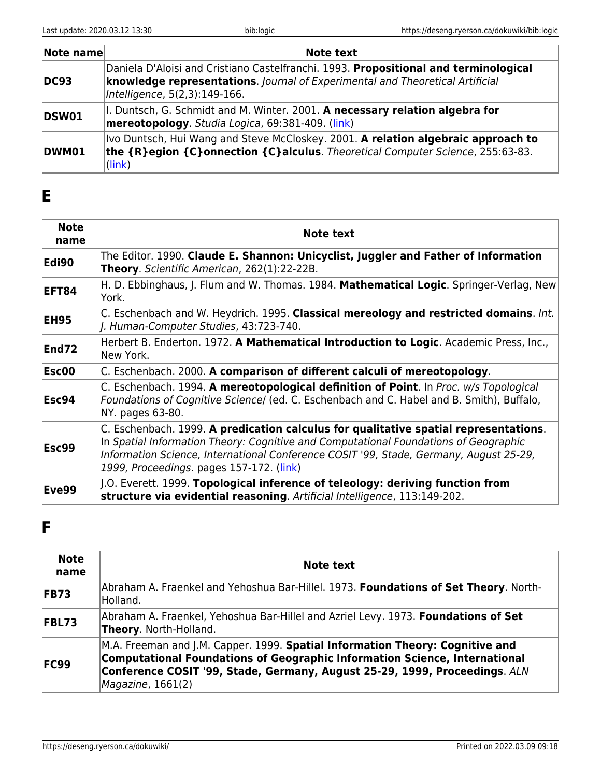| Note name   | Note text                                                                                                                                                                                              |
|-------------|--------------------------------------------------------------------------------------------------------------------------------------------------------------------------------------------------------|
| <b>DC93</b> | Daniela D'Aloisi and Cristiano Castelfranchi. 1993. Propositional and terminological<br>knowledge representations. Journal of Experimental and Theoretical Artificial<br>Intelligence, 5(2,3):149-166. |
| DSW01       | I. Duntsch, G. Schmidt and M. Winter. 2001. A necessary relation algebra for<br>mereotopology. Studia Logica, 69:381-409. (link)                                                                       |
| DWM01       | Vo Duntsch, Hui Wang and Steve McCloskey. 2001. A relation algebraic approach to<br>the {R}egion {C}onnection {C}alculus. Theoretical Computer Science, 255:63-83.<br>$\vert$ (link)                   |

#### <span id="page-5-2"></span><span id="page-5-0"></span>**E**

| <b>Note</b><br>name | Note text                                                                                                                                                                                                                                                                                                          |
|---------------------|--------------------------------------------------------------------------------------------------------------------------------------------------------------------------------------------------------------------------------------------------------------------------------------------------------------------|
| Edi90               | The Editor. 1990. Claude E. Shannon: Unicyclist, Juggler and Father of Information<br>Theory. Scientific American, 262(1):22-22B.                                                                                                                                                                                  |
| <b>EFT84</b>        | H. D. Ebbinghaus, J. Flum and W. Thomas. 1984. Mathematical Logic. Springer-Verlag, New<br>York.                                                                                                                                                                                                                   |
| <b>EH95</b>         | C. Eschenbach and W. Heydrich. 1995. Classical mereology and restricted domains. Int.<br>J. Human-Computer Studies, 43:723-740.                                                                                                                                                                                    |
| End72               | Herbert B. Enderton. 1972. A Mathematical Introduction to Logic. Academic Press, Inc.,<br>New York.                                                                                                                                                                                                                |
| Esc00               | C. Eschenbach. 2000. A comparison of different calculi of mereotopology.                                                                                                                                                                                                                                           |
| Esc94               | C. Eschenbach. 1994. A mereotopological definition of Point. In Proc. w/s Topological<br>Foundations of Cognitive Science/ (ed. C. Eschenbach and C. Habel and B. Smith), Buffalo,<br>NY. pages 63-80.                                                                                                             |
| Esc99               | C. Eschenbach. 1999. A predication calculus for qualitative spatial representations.<br>In Spatial Information Theory: Cognitive and Computational Foundations of Geographic<br>Information Science, International Conference COSIT '99, Stade, Germany, August 25-29,<br>1999, Proceedings. pages 157-172. (link) |
| Eve99               | J.O. Everett. 1999. Topological inference of teleology: deriving function from<br>structure via evidential reasoning. Artificial Intelligence, 113:149-202.                                                                                                                                                        |

#### <span id="page-5-3"></span><span id="page-5-1"></span>**F**

| <b>Note</b><br>name | Note text                                                                                                                                                                                                                                                      |
|---------------------|----------------------------------------------------------------------------------------------------------------------------------------------------------------------------------------------------------------------------------------------------------------|
| <b>FB73</b>         | Abraham A. Fraenkel and Yehoshua Bar-Hillel. 1973. Foundations of Set Theory. North-<br>Holland.                                                                                                                                                               |
| <b>FBL73</b>        | Abraham A. Fraenkel, Yehoshua Bar-Hillel and Azriel Levy. 1973. Foundations of Set<br>Theory. North-Holland.                                                                                                                                                   |
| FC99                | M.A. Freeman and J.M. Capper. 1999. Spatial Information Theory: Cognitive and<br>Computational Foundations of Geographic Information Science, International<br>Conference COSIT '99, Stade, Germany, August 25-29, 1999, Proceedings. ALN<br>Magazine, 1661(2) |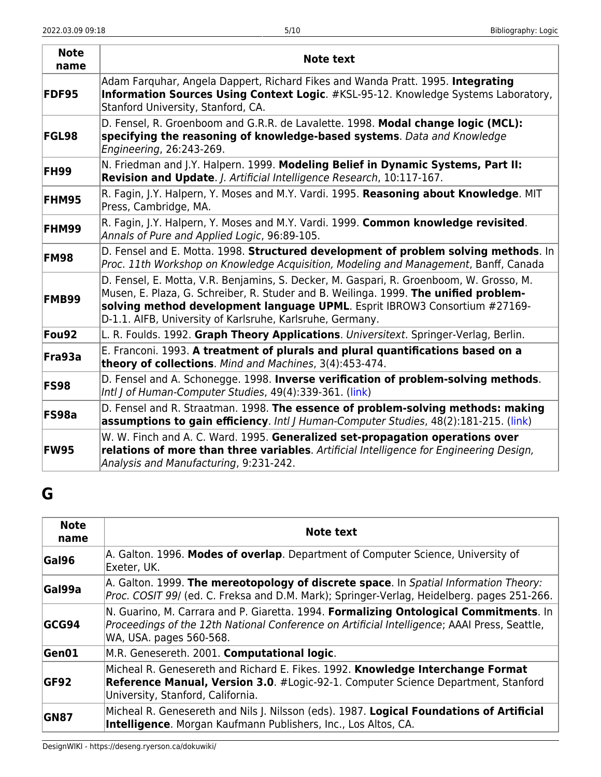| <b>Note</b><br>name | <b>Note text</b>                                                                                                                                                                                                                                                                                                           |
|---------------------|----------------------------------------------------------------------------------------------------------------------------------------------------------------------------------------------------------------------------------------------------------------------------------------------------------------------------|
| FDF95               | Adam Farquhar, Angela Dappert, Richard Fikes and Wanda Pratt. 1995. Integrating<br>Information Sources Using Context Logic. #KSL-95-12. Knowledge Systems Laboratory,<br>Stanford University, Stanford, CA.                                                                                                                |
| FGL98               | D. Fensel, R. Groenboom and G.R.R. de Lavalette. 1998. Modal change logic (MCL):<br>specifying the reasoning of knowledge-based systems. Data and Knowledge<br>Engineering, 26:243-269.                                                                                                                                    |
| <b>FH99</b>         | N. Friedman and J.Y. Halpern. 1999. Modeling Belief in Dynamic Systems, Part II:<br>Revision and Update. J. Artificial Intelligence Research, 10:117-167.                                                                                                                                                                  |
| <b>FHM95</b>        | R. Fagin, J.Y. Halpern, Y. Moses and M.Y. Vardi. 1995. Reasoning about Knowledge. MIT<br>Press, Cambridge, MA.                                                                                                                                                                                                             |
| <b>FHM99</b>        | R. Fagin, J.Y. Halpern, Y. Moses and M.Y. Vardi. 1999. Common knowledge revisited.<br>Annals of Pure and Applied Logic, 96:89-105.                                                                                                                                                                                         |
| <b>FM98</b>         | D. Fensel and E. Motta. 1998. Structured development of problem solving methods. In<br>Proc. 11th Workshop on Knowledge Acquisition, Modeling and Management, Banff, Canada                                                                                                                                                |
| FMB99               | D. Fensel, E. Motta, V.R. Benjamins, S. Decker, M. Gaspari, R. Groenboom, W. Grosso, M.<br>Musen, E. Plaza, G. Schreiber, R. Studer and B. Weilinga. 1999. The unified problem-<br>solving method development language UPML. Esprit IBROW3 Consortium #27169-<br>D-1.1. AIFB, University of Karlsruhe, Karlsruhe, Germany. |
| Fou92               | L. R. Foulds. 1992. Graph Theory Applications. Universitext. Springer-Verlag, Berlin.                                                                                                                                                                                                                                      |
| Fra93a              | E. Franconi. 1993. A treatment of plurals and plural quantifications based on a<br>theory of collections. Mind and Machines, 3(4):453-474.                                                                                                                                                                                 |
| <b>FS98</b>         | D. Fensel and A. Schonegge. 1998. Inverse verification of problem-solving methods.<br>Intl J of Human-Computer Studies, 49(4):339-361. (link)                                                                                                                                                                              |
| FS98a               | D. Fensel and R. Straatman. 1998. The essence of problem-solving methods: making<br>assumptions to gain efficiency. Intl J Human-Computer Studies, 48(2):181-215. (link)                                                                                                                                                   |
| <b>FW95</b>         | W. W. Finch and A. C. Ward. 1995. Generalized set-propagation operations over<br>relations of more than three variables. Artificial Intelligence for Engineering Design,<br>Analysis and Manufacturing, 9:231-242.                                                                                                         |

#### <span id="page-6-1"></span><span id="page-6-0"></span>**G**

| <b>Note</b><br>name | Note text                                                                                                                                                                                                        |
|---------------------|------------------------------------------------------------------------------------------------------------------------------------------------------------------------------------------------------------------|
| Gal96               | A. Galton. 1996. Modes of overlap. Department of Computer Science, University of<br>Exeter, UK.                                                                                                                  |
| Gal99a              | A. Galton. 1999. The mereotopology of discrete space. In Spatial Information Theory:<br>Proc. COSIT 99/ (ed. C. Freksa and D.M. Mark); Springer-Verlag, Heidelberg. pages 251-266.                               |
| GCG94               | N. Guarino, M. Carrara and P. Giaretta. 1994. Formalizing Ontological Commitments. In<br>Proceedings of the 12th National Conference on Artificial Intelligence; AAAI Press, Seattle,<br>WA, USA. pages 560-568. |
| Gen01               | M.R. Genesereth. 2001. Computational logic.                                                                                                                                                                      |
| GF92                | Micheal R. Genesereth and Richard E. Fikes. 1992. Knowledge Interchange Format<br>Reference Manual, Version 3.0. #Logic-92-1. Computer Science Department, Stanford<br>University, Stanford, California.         |
| GN87                | Micheal R. Genesereth and Nils J. Nilsson (eds). 1987. Logical Foundations of Artificial<br>Intelligence. Morgan Kaufmann Publishers, Inc., Los Altos, CA.                                                       |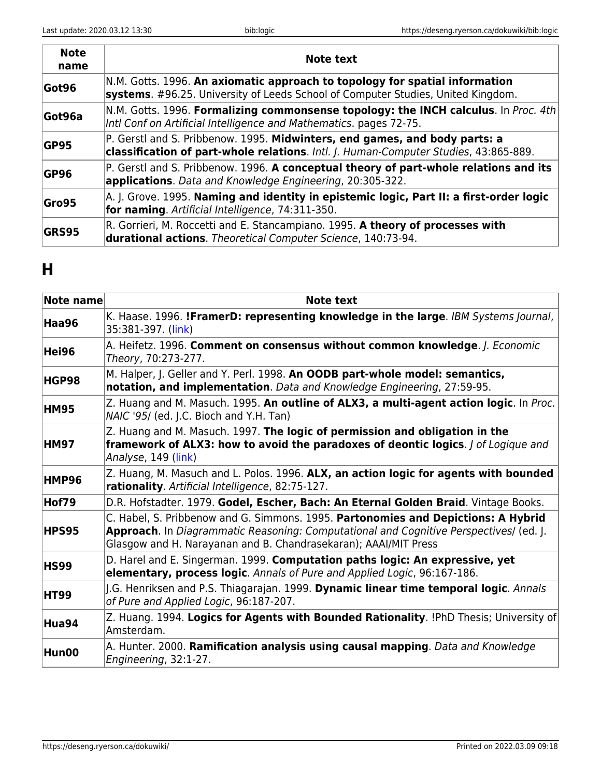| <b>Note</b><br>name | Note text                                                                                                                                                          |  |  |  |  |
|---------------------|--------------------------------------------------------------------------------------------------------------------------------------------------------------------|--|--|--|--|
| Got96               | N.M. Gotts. 1996. An axiomatic approach to topology for spatial information<br>systems. #96.25. University of Leeds School of Computer Studies, United Kingdom.    |  |  |  |  |
| Got96a              | $ N.M.$ Gotts. 1996. Formalizing commonsense topology: the INCH calculus. In Proc. 4th<br>Intl Conf on Artificial Intelligence and Mathematics. pages 72-75.       |  |  |  |  |
| GP95                | P. Gerstl and S. Pribbenow. 1995. Midwinters, end games, and body parts: a<br>classification of part-whole relations. Intl. J. Human-Computer Studies, 43:865-889. |  |  |  |  |
| GP96                | P. Gerstl and S. Pribbenow. 1996. A conceptual theory of part-whole relations and its<br>applications. Data and Knowledge Engineering, 20:305-322.                 |  |  |  |  |
| Gro95               | A. J. Grove. 1995. Naming and identity in epistemic logic, Part II: a first-order logic<br>for naming. Artificial Intelligence, 74:311-350.                        |  |  |  |  |
| <b>GRS95</b>        | R. Gorrieri, M. Roccetti and E. Stancampiano. 1995. A theory of processes with<br>durational actions. Theoretical Computer Science, 140:73-94.                     |  |  |  |  |

### <span id="page-7-1"></span><span id="page-7-0"></span>**H**

<span id="page-7-2"></span>

| <b>Note name</b> | Note text                                                                                                                                                                                                                                      |  |  |  |  |  |
|------------------|------------------------------------------------------------------------------------------------------------------------------------------------------------------------------------------------------------------------------------------------|--|--|--|--|--|
| Haa96            | K. Haase. 1996. !FramerD: representing knowledge in the large. IBM Systems Journal,<br>35:381-397. (link)                                                                                                                                      |  |  |  |  |  |
| Hei96            | A. Heifetz. 1996. Comment on consensus without common knowledge. J. Economic<br>Theory, 70:273-277.                                                                                                                                            |  |  |  |  |  |
| <b>HGP98</b>     | M. Halper, J. Geller and Y. Perl. 1998. An OODB part-whole model: semantics,<br>notation, and implementation. Data and Knowledge Engineering, 27:59-95.                                                                                        |  |  |  |  |  |
| <b>HM95</b>      | Z. Huang and M. Masuch. 1995. An outline of ALX3, a multi-agent action logic. In Proc.<br>NAIC '95/ (ed. J.C. Bioch and Y.H. Tan)                                                                                                              |  |  |  |  |  |
| <b>HM97</b>      | Z. Huang and M. Masuch. 1997. The logic of permission and obligation in the<br>framework of ALX3: how to avoid the paradoxes of deontic logics. J of Logique and<br>Analyse, 149 (link)                                                        |  |  |  |  |  |
| <b>HMP96</b>     | Z. Huang, M. Masuch and L. Polos. 1996. ALX, an action logic for agents with bounded<br>rationality. Artificial Intelligence, 82:75-127.                                                                                                       |  |  |  |  |  |
| Hof79            | D.R. Hofstadter. 1979. Godel, Escher, Bach: An Eternal Golden Braid. Vintage Books.                                                                                                                                                            |  |  |  |  |  |
| <b>HPS95</b>     | C. Habel, S. Pribbenow and G. Simmons. 1995. Partonomies and Depictions: A Hybrid<br>Approach. In Diagrammatic Reasoning: Computational and Cognitive Perspectives/ (ed. J.<br>Glasgow and H. Narayanan and B. Chandrasekaran); AAAI/MIT Press |  |  |  |  |  |
| <b>HS99</b>      | D. Harel and E. Singerman. 1999. Computation paths logic: An expressive, yet<br>elementary, process logic. Annals of Pure and Applied Logic, 96:167-186.                                                                                       |  |  |  |  |  |
| <b>HT99</b>      | J.G. Henriksen and P.S. Thiagarajan. 1999. Dynamic linear time temporal logic. Annals<br>of Pure and Applied Logic, 96:187-207.                                                                                                                |  |  |  |  |  |
| Hua94            | Z. Huang. 1994. Logics for Agents with Bounded Rationality. !PhD Thesis; University of<br>Amsterdam.                                                                                                                                           |  |  |  |  |  |
| Hun00            | A. Hunter. 2000. Ramification analysis using causal mapping. Data and Knowledge<br>Engineering, 32:1-27.                                                                                                                                       |  |  |  |  |  |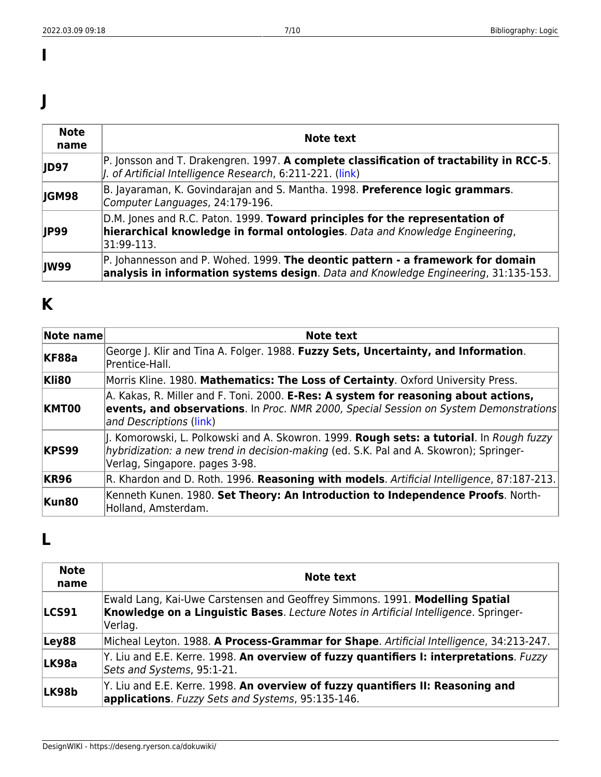# <span id="page-8-4"></span><span id="page-8-1"></span>**J**

**I**

| <b>Note</b><br>name | Note text                                                                                                                                                                  |  |  |  |  |  |
|---------------------|----------------------------------------------------------------------------------------------------------------------------------------------------------------------------|--|--|--|--|--|
| JD97                | P. Jonsson and T. Drakengren. 1997. A complete classification of tractability in RCC-5.<br>J. of Artificial Intelligence Research, 6:211-221. (link)                       |  |  |  |  |  |
| JGM98               | B. Jayaraman, K. Govindarajan and S. Mantha. 1998. Preference logic grammars.<br>Computer Languages, 24:179-196.                                                           |  |  |  |  |  |
| JP99                | D.M. Jones and R.C. Paton. 1999. Toward principles for the representation of<br>hierarchical knowledge in formal ontologies. Data and Knowledge Engineering,<br>31:99-113. |  |  |  |  |  |
| JW99                | P. Johannesson and P. Wohed. 1999. The deontic pattern - a framework for domain<br>analysis in information systems design. Data and Knowledge Engineering, 31:135-153.     |  |  |  |  |  |

#### <span id="page-8-5"></span><span id="page-8-2"></span>**K**

| Note name   | <b>Note text</b>                                                                                                                                                                                                             |
|-------------|------------------------------------------------------------------------------------------------------------------------------------------------------------------------------------------------------------------------------|
| KF88a       | George J. Klir and Tina A. Folger. 1988. Fuzzy Sets, Uncertainty, and Information.<br>Prentice-Hall.                                                                                                                         |
| Kli80       | Morris Kline. 1980. Mathematics: The Loss of Certainty. Oxford University Press.                                                                                                                                             |
| KMT00       | A. Kakas, R. Miller and F. Toni. 2000. E-Res: A system for reasoning about actions,<br>events, and observations. In Proc. NMR 2000, Special Session on System Demonstrations<br>and Descriptions (link)                      |
| KPS99       | J. Komorowski, L. Polkowski and A. Skowron. 1999. <b>Rough sets: a tutorial</b> . In Rough fuzzy<br>hybridization: a new trend in decision-making (ed. S.K. Pal and A. Skowron); Springer-<br>Verlag, Singapore. pages 3-98. |
| <b>KR96</b> | R. Khardon and D. Roth. 1996. Reasoning with models. Artificial Intelligence, 87:187-213.                                                                                                                                    |
| Kun80       | Kenneth Kunen. 1980. Set Theory: An Introduction to Independence Proofs. North-<br>Holland, Amsterdam.                                                                                                                       |

#### <span id="page-8-6"></span><span id="page-8-3"></span>**L**

<span id="page-8-0"></span>

| <b>Note</b><br>name | Note text                                                                                                                                                                       |  |  |  |  |  |
|---------------------|---------------------------------------------------------------------------------------------------------------------------------------------------------------------------------|--|--|--|--|--|
| LCS91               | Ewald Lang, Kai-Uwe Carstensen and Geoffrey Simmons. 1991. Modelling Spatial<br>Knowledge on a Linguistic Bases. Lecture Notes in Artificial Intelligence. Springer-<br>Verlag. |  |  |  |  |  |
| Ley88               | Micheal Leyton. 1988. A Process-Grammar for Shape. Artificial Intelligence, 34:213-247.                                                                                         |  |  |  |  |  |
| LK98a               | Y. Liu and E.E. Kerre. 1998. An overview of fuzzy quantifiers I: interpretations. Fuzzy<br>Sets and Systems, 95:1-21.                                                           |  |  |  |  |  |
| LK98b               | Y. Liu and E.E. Kerre. 1998. An overview of fuzzy quantifiers II: Reasoning and<br>applications. Fuzzy Sets and Systems, 95:135-146.                                            |  |  |  |  |  |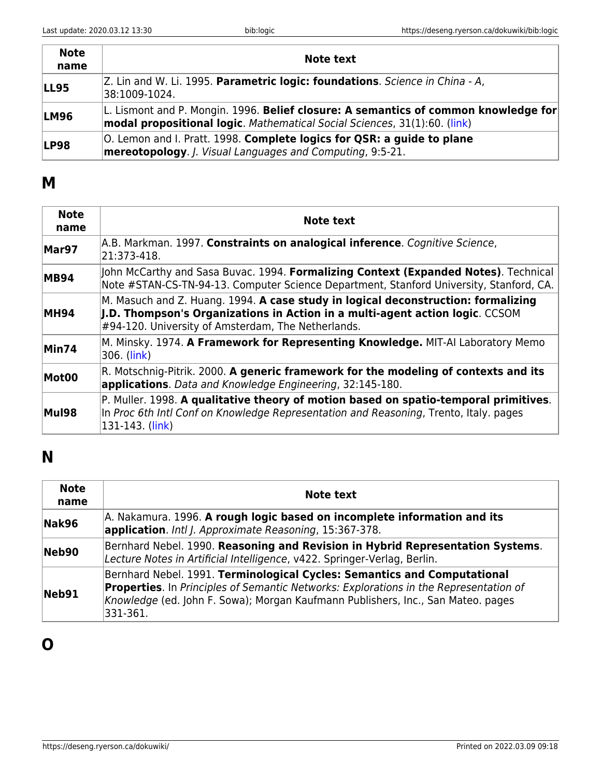| <b>Note</b><br>name | Note text                                                                                                                                                        |  |  |  |  |  |
|---------------------|------------------------------------------------------------------------------------------------------------------------------------------------------------------|--|--|--|--|--|
| <b>LL95</b>         | Z. Lin and W. Li. 1995. Parametric logic: foundations. Science in China - A,<br>38:1009-1024.                                                                    |  |  |  |  |  |
| <b>LM96</b>         | L. Lismont and P. Mongin. 1996. Belief closure: A semantics of common knowledge for<br>modal propositional logic. Mathematical Social Sciences, 31(1):60. (link) |  |  |  |  |  |
| <b>LP98</b>         | O. Lemon and I. Pratt. 1998. Complete logics for QSR: a guide to plane<br><b>mereotopology.</b> J. Visual Languages and Computing, 9:5-21.                       |  |  |  |  |  |

#### <span id="page-9-3"></span><span id="page-9-0"></span>**M**

| <b>Note</b><br>name | Note text                                                                                                                                                                                                               |  |  |  |  |  |
|---------------------|-------------------------------------------------------------------------------------------------------------------------------------------------------------------------------------------------------------------------|--|--|--|--|--|
| Mar97               | A.B. Markman. 1997. Constraints on analogical inference. Cognitive Science,<br>21:373-418.                                                                                                                              |  |  |  |  |  |
| <b>MB94</b>         | John McCarthy and Sasa Buvac. 1994. Formalizing Context (Expanded Notes). Technical<br>Note #STAN-CS-TN-94-13. Computer Science Department, Stanford University, Stanford, CA.                                          |  |  |  |  |  |
| <b>MH94</b>         | M. Masuch and Z. Huang. 1994. A case study in logical deconstruction: formalizing<br>J.D. Thompson's Organizations in Action in a multi-agent action logic. CCSOM<br>#94-120. University of Amsterdam, The Netherlands. |  |  |  |  |  |
| Min74               | M. Minsky. 1974. A Framework for Representing Knowledge. MIT-AI Laboratory Memo<br>306. (link)                                                                                                                          |  |  |  |  |  |
| Mot00               | R. Motschnig-Pitrik. 2000. A generic framework for the modeling of contexts and its<br>applications. Data and Knowledge Engineering, 32:145-180.                                                                        |  |  |  |  |  |
| Mul98               | P. Muller. 1998. A qualitative theory of motion based on spatio-temporal primitives.<br>In Proc 6th Intl Conf on Knowledge Representation and Reasoning, Trento, Italy. pages<br>131-143. (link)                        |  |  |  |  |  |

### <span id="page-9-4"></span><span id="page-9-1"></span>**N**

| <b>Note</b><br>name | Note text                                                                                                                                                                                                                                                                |  |  |  |  |  |
|---------------------|--------------------------------------------------------------------------------------------------------------------------------------------------------------------------------------------------------------------------------------------------------------------------|--|--|--|--|--|
| Nak96               | A. Nakamura. 1996. A rough logic based on incomplete information and its<br>application. Intl J. Approximate Reasoning, 15:367-378.                                                                                                                                      |  |  |  |  |  |
| Neb90               | Bernhard Nebel. 1990. Reasoning and Revision in Hybrid Representation Systems.<br>Lecture Notes in Artificial Intelligence, v422. Springer-Verlag, Berlin.                                                                                                               |  |  |  |  |  |
| Neb91               | Bernhard Nebel. 1991. Terminological Cycles: Semantics and Computational<br><b>Properties.</b> In Principles of Semantic Networks: Explorations in the Representation of<br>Knowledge (ed. John F. Sowa); Morgan Kaufmann Publishers, Inc., San Mateo. pages<br>331-361. |  |  |  |  |  |

<span id="page-9-6"></span><span id="page-9-5"></span><span id="page-9-2"></span>**O**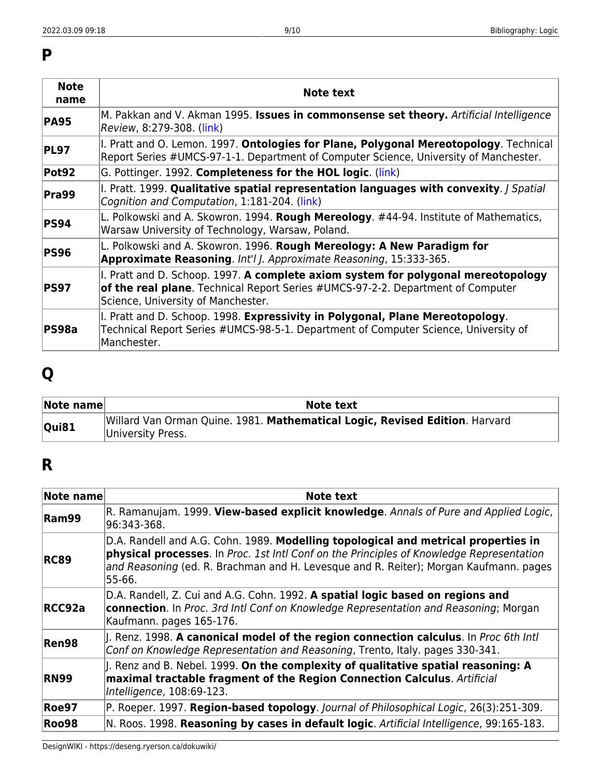**P**

| <b>Note</b><br>name | Note text                                                                                                                                                                                                  |  |  |  |  |
|---------------------|------------------------------------------------------------------------------------------------------------------------------------------------------------------------------------------------------------|--|--|--|--|
| <b>PA95</b>         | M. Pakkan and V. Akman 1995. Issues in commonsense set theory. Artificial Intelligence<br>Review, 8:279-308. (link)                                                                                        |  |  |  |  |
| <b>PL97</b>         | I. Pratt and O. Lemon. 1997. Ontologies for Plane, Polygonal Mereotopology. Technical<br>Report Series #UMCS-97-1-1. Department of Computer Science, University of Manchester.                             |  |  |  |  |
| Pot92               | G. Pottinger. 1992. Completeness for the HOL logic. (link)                                                                                                                                                 |  |  |  |  |
| Pra99               | I. Pratt. 1999. Qualitative spatial representation languages with convexity. <i>  Spatial</i><br>Cognition and Computation, 1:181-204. (link)                                                              |  |  |  |  |
| <b>PS94</b>         | L. Polkowski and A. Skowron. 1994. <b>Rough Mereology</b> . #44-94. Institute of Mathematics,<br>Warsaw University of Technology, Warsaw, Poland.                                                          |  |  |  |  |
| <b>PS96</b>         | L. Polkowski and A. Skowron. 1996. Rough Mereology: A New Paradigm for<br>Approximate Reasoning. Int'l J. Approximate Reasoning, 15:333-365.                                                               |  |  |  |  |
| <b>PS97</b>         | I. Pratt and D. Schoop. 1997. A complete axiom system for polygonal mereotopology<br>of the real plane. Technical Report Series #UMCS-97-2-2. Department of Computer<br>Science, University of Manchester. |  |  |  |  |
| PS98a               | I. Pratt and D. Schoop. 1998. Expressivity in Polygonal, Plane Mereotopology.<br>Technical Report Series #UMCS-98-5-1. Department of Computer Science, University of<br>Manchester.                        |  |  |  |  |

## <span id="page-10-3"></span><span id="page-10-1"></span>**Q**

| Note name | Note text                                                                                        |  |  |  |  |
|-----------|--------------------------------------------------------------------------------------------------|--|--|--|--|
| Qui81     | Willard Van Orman Quine. 1981. Mathematical Logic, Revised Edition. Harvard<br>University Press. |  |  |  |  |

#### <span id="page-10-4"></span><span id="page-10-2"></span>**R**

| Note name     | <b>Note text</b>                                                                                                                                                                                                                                                                  |  |  |  |  |  |
|---------------|-----------------------------------------------------------------------------------------------------------------------------------------------------------------------------------------------------------------------------------------------------------------------------------|--|--|--|--|--|
| Ram99         | R. Ramanujam. 1999. View-based explicit knowledge. Annals of Pure and Applied Logic,<br>96:343-368.                                                                                                                                                                               |  |  |  |  |  |
| <b>RC89</b>   | D.A. Randell and A.G. Cohn. 1989. Modelling topological and metrical properties in<br>physical processes. In Proc. 1st Intl Conf on the Principles of Knowledge Representation<br>and Reasoning (ed. R. Brachman and H. Levesque and R. Reiter); Morgan Kaufmann. pages<br>55-66. |  |  |  |  |  |
| <b>RCC92a</b> | D.A. Randell, Z. Cui and A.G. Cohn. 1992. A spatial logic based on regions and<br>connection. In Proc. 3rd Intl Conf on Knowledge Representation and Reasoning; Morgan<br>Kaufmann. pages 165-176.                                                                                |  |  |  |  |  |
| Ren98         | J. Renz. 1998. A canonical model of the region connection calculus. In Proc 6th Intl<br>Conf on Knowledge Representation and Reasoning, Trento, Italy. pages 330-341.                                                                                                             |  |  |  |  |  |
| <b>RN99</b>   | J. Renz and B. Nebel. 1999. On the complexity of qualitative spatial reasoning: A<br>maximal tractable fragment of the Region Connection Calculus. Artificial<br>Intelligence, 108:69-123.                                                                                        |  |  |  |  |  |
| Roe97         | P. Roeper. 1997. Region-based topology. Journal of Philosophical Logic, 26(3):251-309.                                                                                                                                                                                            |  |  |  |  |  |
| Roo98         | N. Roos. 1998. Reasoning by cases in default logic. Artificial Intelligence, 99:165-183.                                                                                                                                                                                          |  |  |  |  |  |

<span id="page-10-5"></span><span id="page-10-0"></span>DesignWIKI - https://deseng.ryerson.ca/dokuwiki/